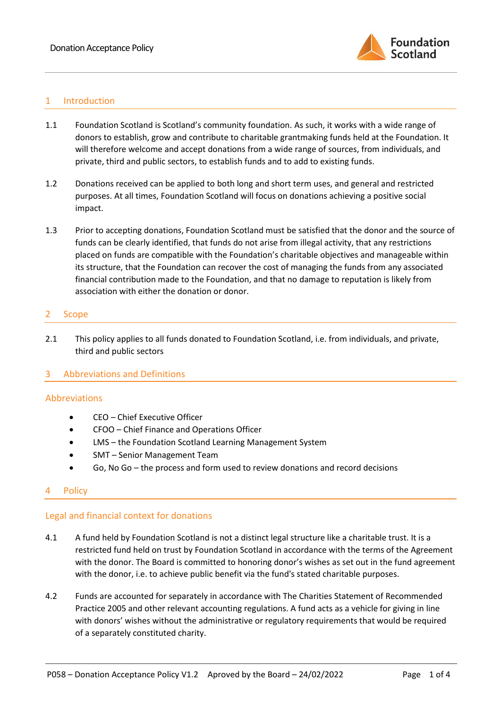

## 1 Introduction

- 1.1 Foundation Scotland is Scotland's community foundation. As such, it works with a wide range of donors to establish, grow and contribute to charitable grantmaking funds held at the Foundation. It will therefore welcome and accept donations from a wide range of sources, from individuals, and private, third and public sectors, to establish funds and to add to existing funds.
- 1.2 Donations received can be applied to both long and short term uses, and general and restricted purposes. At all times, Foundation Scotland will focus on donations achieving a positive social impact.
- 1.3 Prior to accepting donations, Foundation Scotland must be satisfied that the donor and the source of funds can be clearly identified, that funds do not arise from illegal activity, that any restrictions placed on funds are compatible with the Foundation's charitable objectives and manageable within its structure, that the Foundation can recover the cost of managing the funds from any associated financial contribution made to the Foundation, and that no damage to reputation is likely from association with either the donation or donor.

#### 2 Scope

2.1 This policy applies to all funds donated to Foundation Scotland, i.e. from individuals, and private, third and public sectors

### 3 Abbreviations and Definitions

### Abbreviations

- CEO Chief Executive Officer
- CFOO Chief Finance and Operations Officer
- LMS the Foundation Scotland Learning Management System
- SMT Senior Management Team
- Go, No Go the process and form used to review donations and record decisions

### **Policy**

### Legal and financial context for donations

- 4.1 A fund held by Foundation Scotland is not a distinct legal structure like a charitable trust. It is a restricted fund held on trust by Foundation Scotland in accordance with the terms of the Agreement with the donor. The Board is committed to honoring donor's wishes as set out in the fund agreement with the donor, i.e. to achieve public benefit via the fund's stated charitable purposes.
- 4.2 Funds are accounted for separately in accordance with The Charities Statement of Recommended Practice 2005 and other relevant accounting regulations. A fund acts as a vehicle for giving in line with donors' wishes without the administrative or regulatory requirements that would be required of a separately constituted charity.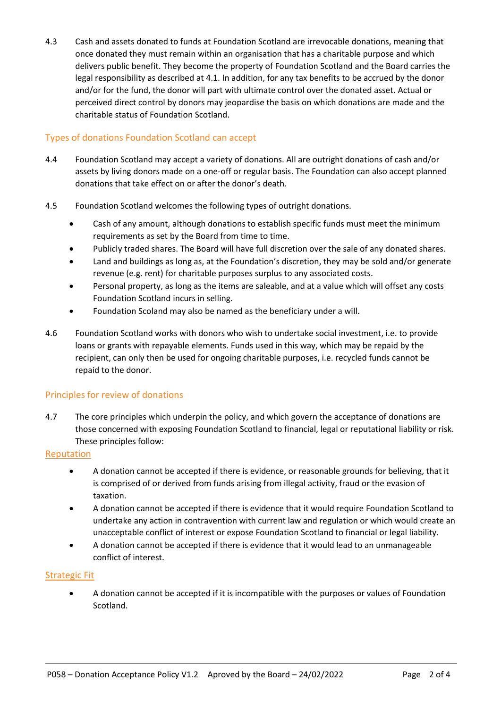4.3 Cash and assets donated to funds at Foundation Scotland are irrevocable donations, meaning that once donated they must remain within an organisation that has a charitable purpose and which delivers public benefit. They become the property of Foundation Scotland and the Board carries the legal responsibility as described at 4.1. In addition, for any tax benefits to be accrued by the donor and/or for the fund, the donor will part with ultimate control over the donated asset. Actual or perceived direct control by donors may jeopardise the basis on which donations are made and the charitable status of Foundation Scotland.

## Types of donations Foundation Scotland can accept

- 4.4 Foundation Scotland may accept a variety of donations. All are outright donations of cash and/or assets by living donors made on a one-off or regular basis. The Foundation can also accept planned donations that take effect on or after the donor's death.
- 4.5 Foundation Scotland welcomes the following types of outright donations.
	- Cash of any amount, although donations to establish specific funds must meet the minimum requirements as set by the Board from time to time.
	- Publicly traded shares. The Board will have full discretion over the sale of any donated shares.
	- Land and buildings as long as, at the Foundation's discretion, they may be sold and/or generate revenue (e.g. rent) for charitable purposes surplus to any associated costs.
	- Personal property, as long as the items are saleable, and at a value which will offset any costs Foundation Scotland incurs in selling.
	- Foundation Scoland may also be named as the beneficiary under a will.
- 4.6 Foundation Scotland works with donors who wish to undertake social investment, i.e. to provide loans or grants with repayable elements. Funds used in this way, which may be repaid by the recipient, can only then be used for ongoing charitable purposes, i.e. recycled funds cannot be repaid to the donor.

# Principles for review of donations

4.7 The core principles which underpin the policy, and which govern the acceptance of donations are those concerned with exposing Foundation Scotland to financial, legal or reputational liability or risk. These principles follow:

## Reputation

- A donation cannot be accepted if there is evidence, or reasonable grounds for believing, that it is comprised of or derived from funds arising from illegal activity, fraud or the evasion of taxation.
- A donation cannot be accepted if there is evidence that it would require Foundation Scotland to undertake any action in contravention with current law and regulation or which would create an unacceptable conflict of interest or expose Foundation Scotland to financial or legal liability.
- A donation cannot be accepted if there is evidence that it would lead to an unmanageable conflict of interest.

### Strategic Fit

• A donation cannot be accepted if it is incompatible with the purposes or values of Foundation Scotland.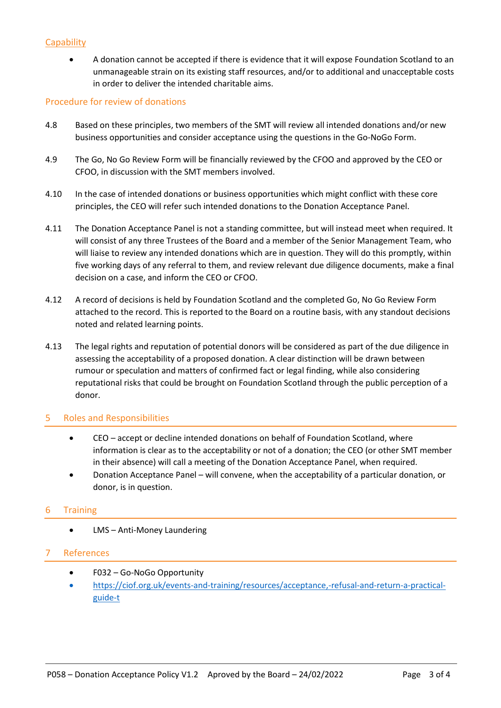## **Capability**

• A donation cannot be accepted if there is evidence that it will expose Foundation Scotland to an unmanageable strain on its existing staff resources, and/or to additional and unacceptable costs in order to deliver the intended charitable aims.

### Procedure for review of donations

- 4.8 Based on these principles, two members of the SMT will review all intended donations and/or new business opportunities and consider acceptance using the questions in the Go-NoGo Form.
- 4.9 The Go, No Go Review Form will be financially reviewed by the CFOO and approved by the CEO or CFOO, in discussion with the SMT members involved.
- 4.10 In the case of intended donations or business opportunities which might conflict with these core principles, the CEO will refer such intended donations to the Donation Acceptance Panel.
- 4.11 The Donation Acceptance Panel is not a standing committee, but will instead meet when required. It will consist of any three Trustees of the Board and a member of the Senior Management Team, who will liaise to review any intended donations which are in question. They will do this promptly, within five working days of any referral to them, and review relevant due diligence documents, make a final decision on a case, and inform the CEO or CFOO.
- 4.12 A record of decisions is held by Foundation Scotland and the completed Go, No Go Review Form attached to the record. This is reported to the Board on a routine basis, with any standout decisions noted and related learning points.
- 4.13 The legal rights and reputation of potential donors will be considered as part of the due diligence in assessing the acceptability of a proposed donation. A clear distinction will be drawn between rumour or speculation and matters of confirmed fact or legal finding, while also considering reputational risks that could be brought on Foundation Scotland through the public perception of a donor.

### 5 Roles and Responsibilities

- CEO accept or decline intended donations on behalf of Foundation Scotland, where information is clear as to the acceptability or not of a donation; the CEO (or other SMT member in their absence) will call a meeting of the Donation Acceptance Panel, when required.
- Donation Acceptance Panel will convene, when the acceptability of a particular donation, or donor, is in question.

## 6 Training

• LMS – Anti-Money Laundering

## 7 References

- F032 Go-NoGo Opportunity
- [https://ciof.org.uk/events-and-training/resources/acceptance,-refusal-and-return-a-practical](https://ciof.org.uk/events-and-training/resources/acceptance,-refusal-and-return-a-practical-guide-t)[guide-t](https://ciof.org.uk/events-and-training/resources/acceptance,-refusal-and-return-a-practical-guide-t)